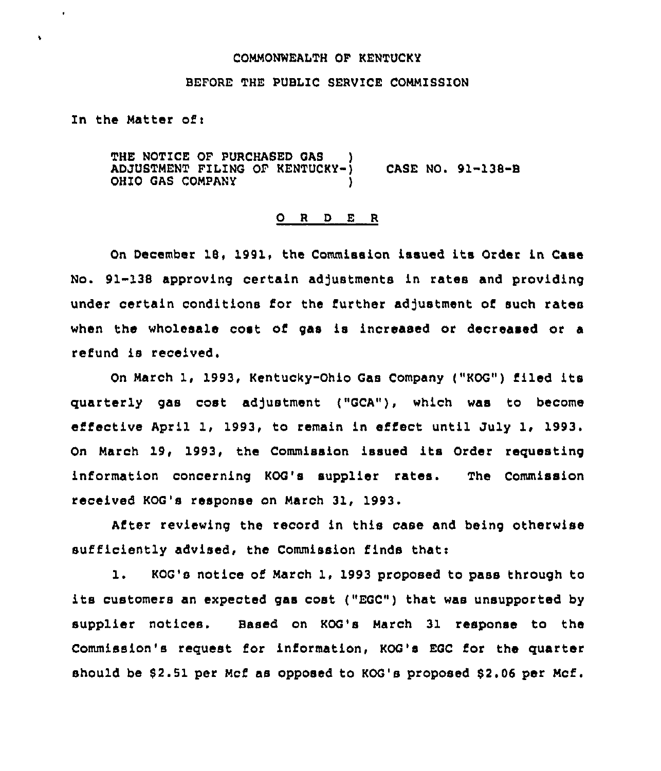#### COMMONWEALTH OP KENTUCKY

### BEFORE THE PUBLIC SERVICE COMMISSION

In the Matter of:

 $\bullet$ 

THE NOTICE OF PURCHASED GAS ADJUSTMENT FILING OF KENTUCKY-) CASE NO. 91-138-B OHIO GAS COMPANY

#### 0 <sup>R</sup> <sup>D</sup> E <sup>R</sup>

On December 18, 1991, the Commission issued its Order in Case No. 91-138 approving certain adjustments in rates and providing under certain conditions for the further adjustment of such rates when the wholesale cost of gas is increased or decreased or a refund is received.

On March 1, 1993, Kentucky-Ohio Gas Company ("KOG") filed its quarterly gas cost adjustment ("GCA"), which was to become effective April 1, 1993, to remain in effect until July 1, 1993. On March 19, 1993, the Commission issued its Order requesting information concerning KOQ's supplier rates. The Commission received KOG's response on March 31, 1993.

After reviewing the record in this case and being otherwise sufficiently advised, the Commission finds that:

1. KOG's notice of March 1, 1993 proposed to pass through to its customers an expected gas cost ("EGC") that was unsupported by supplier notices. Based on KOG's March 31 response to the Commission's reguest for information, KOG's EQC for the guarter should be 82.51 per Mcf as opposed to KOG's proposed 82.06 per Mcf.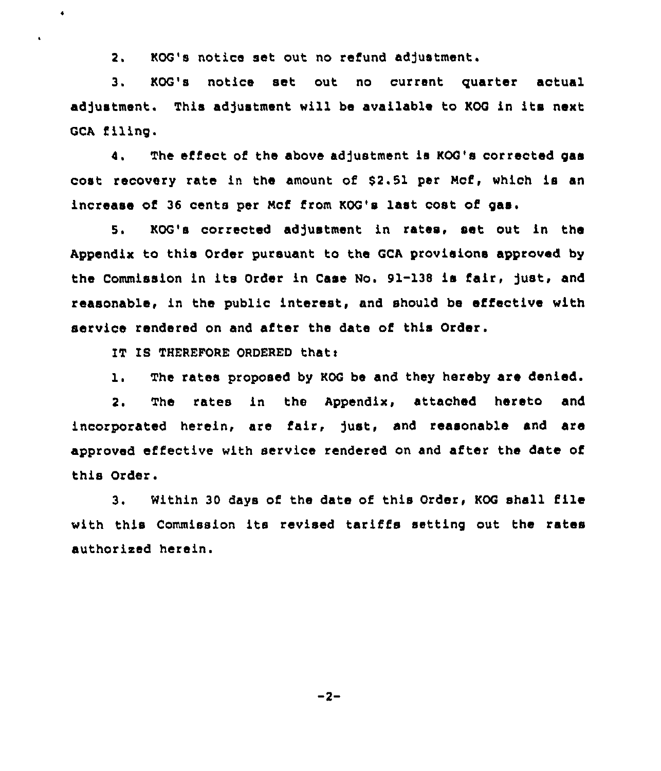2. KOG's notice set out no refund adjustment.

3. KOG's notice set out no current guarter actual adjustment. This adjustment will be available to KOG in its next GCA filing.

4. The effect of the above adjustment is KOG's corrected gas cost recovery rate in the amount of \$2.51 per Mcf, which is an increase of 36 cents per Mcf from KOG's last cost of gas.

5. KOG's corrected adjustment in rates, set out in the Appendix to this Order pursuant to the GCA provisions approved by the Commission in its Order in Case No. 91-138 is fair, Just, and reasonable, in the public interest, and should be effective with service rendered on and after the date of this Order.

IT IS THEREFORE ORDERED that:

 $\bullet$ 

 $\mathbf{r}$ 

1. The rates proposed by KOG be and they hereby are denied.

2. The rates in the Appendix, attached hereto and incorporated herein, are fair, )ust, and reasonable and are approved effective with service rendered on and after the date of this Order.

3. Within <sup>30</sup> days of the date of this Order, KOQ shall file with this Commission its revised tariffs setting out the rates authorized herein.

 $-2-$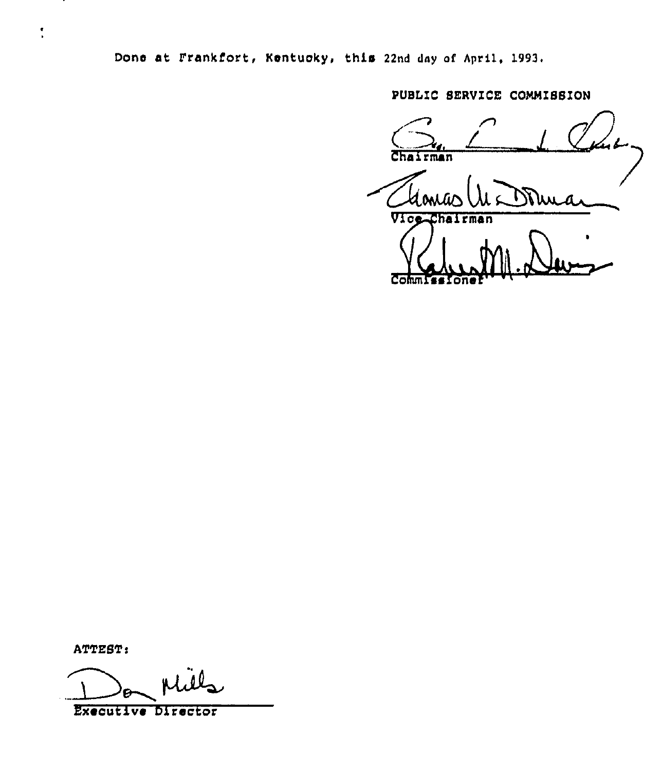Done at Frankfort, Kentuoky, this 22nd day af Apri1, 1993,

PUBLIC SERVICE COMMISSION

n  $\bigodot$ chairmann Thomas (11 Domas CommissIoner ''

ATTEST:

 $\ddot{\phantom{0}}$ 

Executive Director